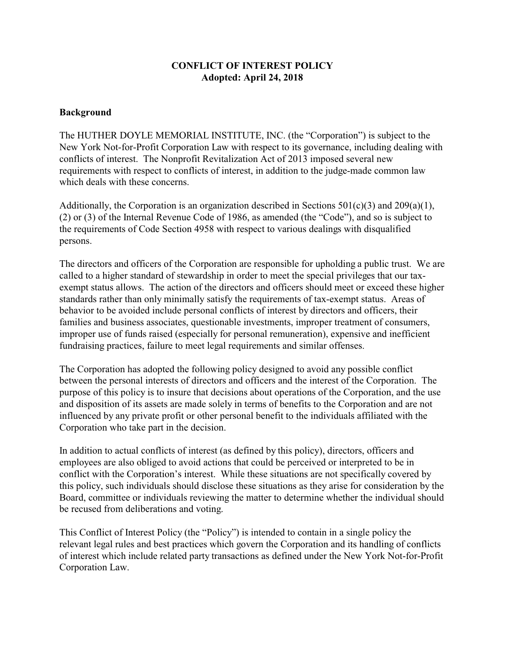## **CONFLICT OF INTEREST POLICY Adopted: April 24, 2018**

### **Background**

The HUTHER DOYLE MEMORIAL INSTITUTE, INC. (the "Corporation") is subject to the New York Not-for-Profit Corporation Law with respect to its governance, including dealing with conflicts of interest. The Nonprofit Revitalization Act of 2013 imposed several new requirements with respect to conflicts of interest, in addition to the judge-made common law which deals with these concerns.

Additionally, the Corporation is an organization described in Sections  $501(c)(3)$  and  $209(a)(1)$ , (2) or (3) of the Internal Revenue Code of 1986, as amended (the "Code"), and so is subject to the requirements of Code Section 4958 with respect to various dealings with disqualified persons.

The directors and officers of the Corporation are responsible for upholding a public trust. We are called to a higher standard of stewardship in order to meet the special privileges that our taxexempt status allows. The action of the directors and officers should meet or exceed these higher standards rather than only minimally satisfy the requirements of tax-exempt status. Areas of behavior to be avoided include personal conflicts of interest by directors and officers, their families and business associates, questionable investments, improper treatment of consumers, improper use of funds raised (especially for personal remuneration), expensive and inefficient fundraising practices, failure to meet legal requirements and similar offenses.

The Corporation has adopted the following policy designed to avoid any possible conflict between the personal interests of directors and officers and the interest of the Corporation. The purpose of this policy is to insure that decisions about operations of the Corporation, and the use and disposition of its assets are made solely in terms of benefits to the Corporation and are not influenced by any private profit or other personal benefit to the individuals affiliated with the Corporation who take part in the decision.

In addition to actual conflicts of interest (as defined by this policy), directors, officers and employees are also obliged to avoid actions that could be perceived or interpreted to be in conflict with the Corporation's interest. While these situations are not specifically covered by this policy, such individuals should disclose these situations as they arise for consideration by the Board, committee or individuals reviewing the matter to determine whether the individual should be recused from deliberations and voting.

This Conflict of Interest Policy (the "Policy") is intended to contain in a single policy the relevant legal rules and best practices which govern the Corporation and its handling of conflicts of interest which include related party transactions as defined under the New York Not-for-Profit Corporation Law.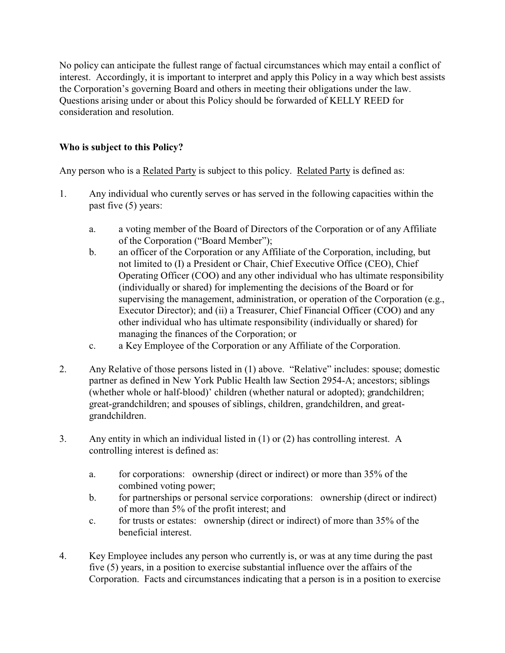No policy can anticipate the fullest range of factual circumstances which may entail a conflict of interest. Accordingly, it is important to interpret and apply this Policy in a way which best assists the Corporation's governing Board and others in meeting their obligations under the law. Questions arising under or about this Policy should be forwarded of KELLY REED for consideration and resolution.

# **Who is subject to this Policy?**

Any person who is a Related Party is subject to this policy. Related Party is defined as:

- 1. Any individual who curently serves or has served in the following capacities within the past five (5) years:
	- a. a voting member of the Board of Directors of the Corporation or of any Affiliate of the Corporation ("Board Member");
	- b. an officer of the Corporation or any Affiliate of the Corporation, including, but not limited to (I) a President or Chair, Chief Executive Office (CEO), Chief Operating Officer (COO) and any other individual who has ultimate responsibility (individually or shared) for implementing the decisions of the Board or for supervising the management, administration, or operation of the Corporation (e.g., Executor Director); and (ii) a Treasurer, Chief Financial Officer (COO) and any other individual who has ultimate responsibility (individually or shared) for managing the finances of the Corporation; or
	- c. a Key Employee of the Corporation or any Affiliate of the Corporation.
- 2. Any Relative of those persons listed in (1) above. "Relative" includes: spouse; domestic partner as defined in New York Public Health law Section 2954-A; ancestors; siblings (whether whole or half-blood)' children (whether natural or adopted); grandchildren; great-grandchildren; and spouses of siblings, children, grandchildren, and greatgrandchildren.
- 3. Any entity in which an individual listed in (1) or (2) has controlling interest. A controlling interest is defined as:
	- a. for corporations: ownership (direct or indirect) or more than 35% of the combined voting power;
	- b. for partnerships or personal service corporations: ownership (direct or indirect) of more than 5% of the profit interest; and
	- c. for trusts or estates: ownership (direct or indirect) of more than 35% of the beneficial interest.
- 4. Key Employee includes any person who currently is, or was at any time during the past five (5) years, in a position to exercise substantial influence over the affairs of the Corporation. Facts and circumstances indicating that a person is in a position to exercise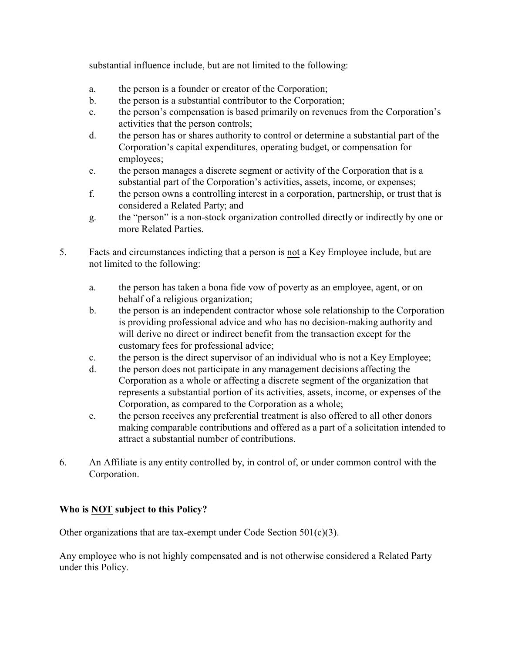substantial influence include, but are not limited to the following:

- a. the person is a founder or creator of the Corporation;
- b. the person is a substantial contributor to the Corporation;
- c. the person's compensation is based primarily on revenues from the Corporation's activities that the person controls;
- d. the person has or shares authority to control or determine a substantial part of the Corporation's capital expenditures, operating budget, or compensation for employees;
- e. the person manages a discrete segment or activity of the Corporation that is a substantial part of the Corporation's activities, assets, income, or expenses;
- f. the person owns a controlling interest in a corporation, partnership, or trust that is considered a Related Party; and
- g. the "person" is a non-stock organization controlled directly or indirectly by one or more Related Parties.
- 5. Facts and circumstances indicting that a person is not a Key Employee include, but are not limited to the following:
	- a. the person has taken a bona fide vow of poverty as an employee, agent, or on behalf of a religious organization;
	- b. the person is an independent contractor whose sole relationship to the Corporation is providing professional advice and who has no decision-making authority and will derive no direct or indirect benefit from the transaction except for the customary fees for professional advice;
	- c. the person is the direct supervisor of an individual who is not a Key Employee;
	- d. the person does not participate in any management decisions affecting the Corporation as a whole or affecting a discrete segment of the organization that represents a substantial portion of its activities, assets, income, or expenses of the Corporation, as compared to the Corporation as a whole;
	- e. the person receives any preferential treatment is also offered to all other donors making comparable contributions and offered as a part of a solicitation intended to attract a substantial number of contributions.
- 6. An Affiliate is any entity controlled by, in control of, or under common control with the Corporation.

# **Who is NOT subject to this Policy?**

Other organizations that are tax-exempt under Code Section 501(c)(3).

Any employee who is not highly compensated and is not otherwise considered a Related Party under this Policy.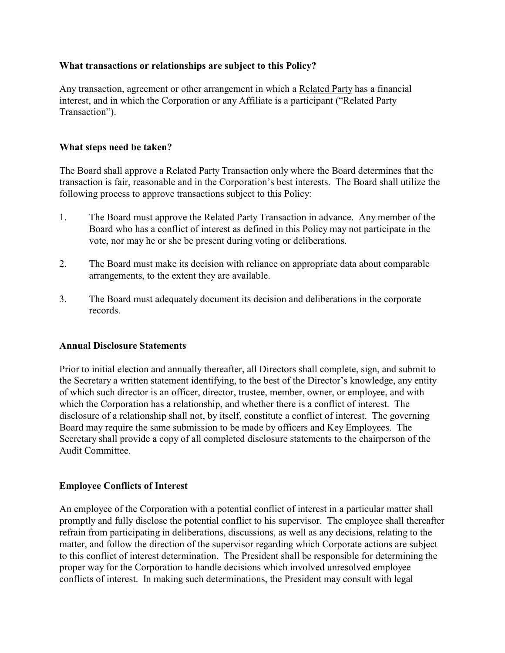### **What transactions or relationships are subject to this Policy?**

Any transaction, agreement or other arrangement in which a Related Party has a financial interest, and in which the Corporation or any Affiliate is a participant ("Related Party Transaction").

### **What steps need be taken?**

The Board shall approve a Related Party Transaction only where the Board determines that the transaction is fair, reasonable and in the Corporation's best interests. The Board shall utilize the following process to approve transactions subject to this Policy:

- 1. The Board must approve the Related Party Transaction in advance. Any member of the Board who has a conflict of interest as defined in this Policy may not participate in the vote, nor may he or she be present during voting or deliberations.
- 2. The Board must make its decision with reliance on appropriate data about comparable arrangements, to the extent they are available.
- 3. The Board must adequately document its decision and deliberations in the corporate records.

#### **Annual Disclosure Statements**

Prior to initial election and annually thereafter, all Directors shall complete, sign, and submit to the Secretary a written statement identifying, to the best of the Director's knowledge, any entity of which such director is an officer, director, trustee, member, owner, or employee, and with which the Corporation has a relationship, and whether there is a conflict of interest. The disclosure of a relationship shall not, by itself, constitute a conflict of interest. The governing Board may require the same submission to be made by officers and Key Employees. The Secretary shall provide a copy of all completed disclosure statements to the chairperson of the Audit Committee.

## **Employee Conflicts of Interest**

An employee of the Corporation with a potential conflict of interest in a particular matter shall promptly and fully disclose the potential conflict to his supervisor. The employee shall thereafter refrain from participating in deliberations, discussions, as well as any decisions, relating to the matter, and follow the direction of the supervisor regarding which Corporate actions are subject to this conflict of interest determination. The President shall be responsible for determining the proper way for the Corporation to handle decisions which involved unresolved employee conflicts of interest. In making such determinations, the President may consult with legal